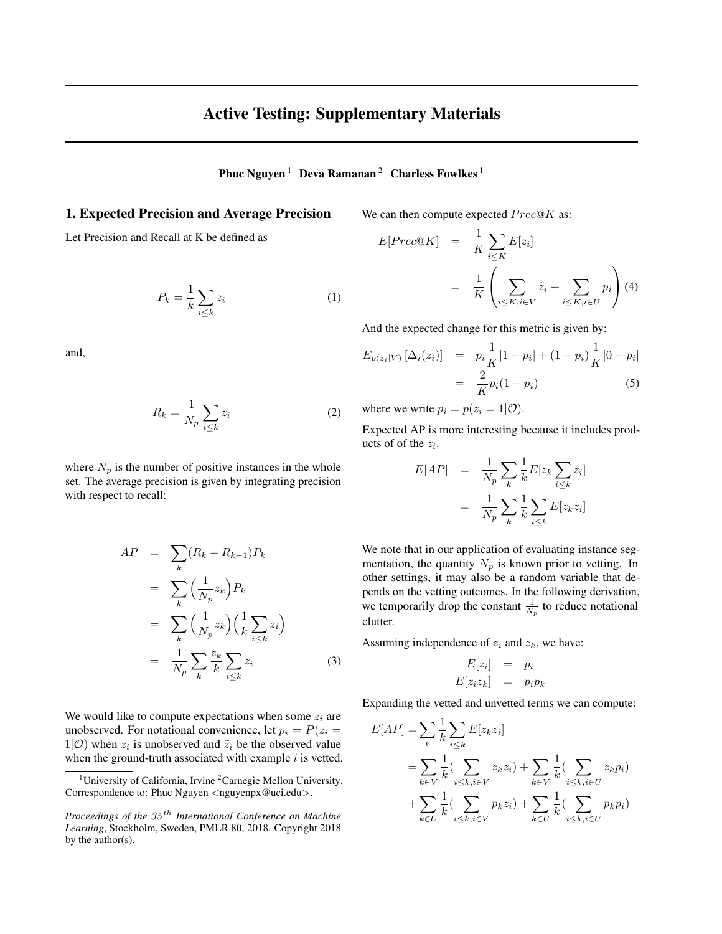# Active Testing: Supplementary Materials

Phuc Nguyen<sup>1</sup> Deva Ramanan<sup>2</sup> Charless Fowlkes<sup>1</sup>

## 1. Expected Precision and Average Precision

Let Precision and Recall at K be defined as

$$
P_k = \frac{1}{k} \sum_{i \le k} z_i \tag{1}
$$

and,

$$
R_k = \frac{1}{N_p} \sum_{i \le k} z_i \tag{2}
$$

where  $N_p$  is the number of positive instances in the whole set. The average precision is given by integrating precision with respect to recall:

$$
AP = \sum_{k} (R_k - R_{k-1}) P_k
$$
  
\n
$$
= \sum_{k} \left(\frac{1}{N_p} z_k\right) P_k
$$
  
\n
$$
= \sum_{k} \left(\frac{1}{N_p} z_k\right) \left(\frac{1}{k} \sum_{i \le k} z_i\right)
$$
  
\n
$$
= \frac{1}{N_p} \sum_{k} \frac{z_k}{k} \sum_{i \le k} z_i
$$
 (3)

We would like to compute expectations when some  $z_i$  are unobserved. For notational convenience, let  $p_i = P(z_i =$  $1|0\rangle$  when  $z_i$  is unobserved and  $\tilde{z}_i$  be the observed value when the ground-truth associated with example  $i$  is vetted. We can then compute expected  $Prec@K$  as:

$$
E[Prec@K] = \frac{1}{K} \sum_{i \le K} E[z_i]
$$
  
= 
$$
\frac{1}{K} \left( \sum_{i \le K, i \in V} \tilde{z}_i + \sum_{i \le K, i \in U} p_i \right) (4)
$$

And the expected change for this metric is given by:

$$
E_{p(z_i|V)} [\Delta_i(z_i)] = p_i \frac{1}{K} |1 - p_i| + (1 - p_i) \frac{1}{K} |0 - p_i|
$$
  
= 
$$
\frac{2}{K} p_i (1 - p_i)
$$
 (5)

where we write  $p_i = p(z_i = 1 | \mathcal{O})$ .

Expected AP is more interesting because it includes products of of the  $z_i$ .

$$
E[AP] = \frac{1}{N_p} \sum_{k} \frac{1}{k} E[z_k \sum_{i \le k} z_i]
$$

$$
= \frac{1}{N_p} \sum_{k} \frac{1}{k} \sum_{i \le k} E[z_k z_i]
$$

We note that in our application of evaluating instance segmentation, the quantity  $N_p$  is known prior to vetting. In other settings, it may also be a random variable that depends on the vetting outcomes. In the following derivation, we temporarily drop the constant  $\frac{1}{N_p}$  to reduce notational clutter.

Assuming independence of  $z_i$  and  $z_k$ , we have:

$$
E[z_i] = p_i
$$
  

$$
E[z_i z_k] = p_i p_k
$$

Expanding the vetted and unvetted terms we can compute:

$$
E[AP] = \sum_{k} \frac{1}{k} \sum_{i \leq k} E[z_k z_i]
$$
  
= 
$$
\sum_{k \in V} \frac{1}{k} (\sum_{i \leq k, i \in V} z_k z_i) + \sum_{k \in V} \frac{1}{k} (\sum_{i \leq k, i \in U} z_k p_i)
$$
  
+ 
$$
\sum_{k \in U} \frac{1}{k} (\sum_{i \leq k, i \in V} p_k z_i) + \sum_{k \in U} \frac{1}{k} (\sum_{i \leq k, i \in U} p_k p_i)
$$

<sup>&</sup>lt;sup>1</sup>University of California, Irvine  ${}^{2}$ Carnegie Mellon University. Correspondence to: Phuc Nguyen <nguyenpx@uci.edu>.

*Proceedings of the* 35 th *International Conference on Machine Learning*, Stockholm, Sweden, PMLR 80, 2018. Copyright 2018 by the author(s).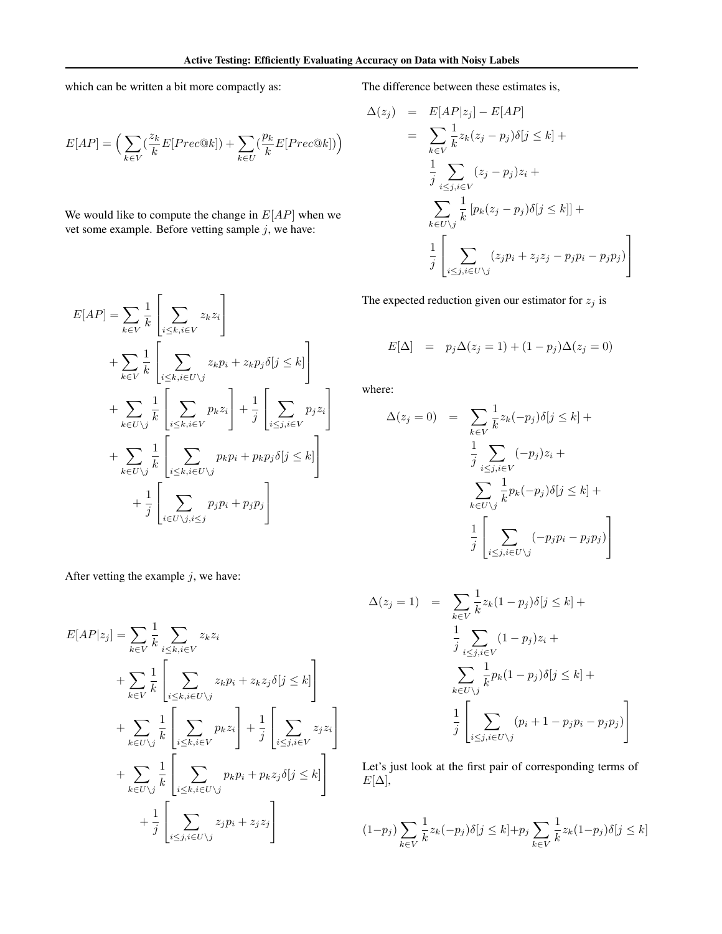which can be written a bit more compactly as:

$$
E[AP] = \Big(\sum_{k \in V} (\frac{z_k}{k} E[Prec@k]) + \sum_{k \in U} (\frac{p_k}{k} E[Prec@k]) \Big)
$$

We would like to compute the change in  $E[AP]$  when we vet some example. Before vetting sample  $j$ , we have:

$$
E[AP] = \sum_{k \in V} \frac{1}{k} \left[ \sum_{i \le k, i \in V} z_k z_i \right]
$$
  
+ 
$$
\sum_{k \in V} \frac{1}{k} \left[ \sum_{i \le k, i \in U \setminus j} z_k p_i + z_k p_j \delta[j \le k] \right]
$$
  
+ 
$$
\sum_{k \in U \setminus j} \frac{1}{k} \left[ \sum_{i \le k, i \in V} p_k z_i \right] + \frac{1}{j} \left[ \sum_{i \le j, i \in V} p_j z_i \right]
$$
  
+ 
$$
\sum_{k \in U \setminus j} \frac{1}{k} \left[ \sum_{i \le k, i \in U \setminus j} p_k p_i + p_k p_j \delta[j \le k] \right]
$$
  
+ 
$$
\frac{1}{j} \left[ \sum_{i \in U \setminus j, i \le j} p_j p_i + p_j p_j \right]
$$

After vetting the example  $j$ , we have:

$$
E[AP|z_j] = \sum_{k \in V} \frac{1}{k} \sum_{i \le k, i \in V} z_k z_i
$$
  
+ 
$$
\sum_{k \in V} \frac{1}{k} \left[ \sum_{i \le k, i \in U \setminus j} z_k p_i + z_k z_j \delta[j \le k] \right]
$$
  
+ 
$$
\sum_{k \in U \setminus j} \frac{1}{k} \left[ \sum_{i \le k, i \in V} p_k z_i \right] + \frac{1}{j} \left[ \sum_{i \le j, i \in V} z_j z_i \right]
$$
  
+ 
$$
\sum_{k \in U \setminus j} \frac{1}{k} \left[ \sum_{i \le k, i \in U \setminus j} p_k p_i + p_k z_j \delta[j \le k] \right]
$$
  
+ 
$$
\frac{1}{j} \left[ \sum_{i \le j, i \in U \setminus j} z_j p_i + z_j z_j \right]
$$

The difference between these estimates is,

$$
\Delta(z_j) = E[AP|z_j] - E[AP]
$$
  
\n
$$
= \sum_{k \in V} \frac{1}{k} z_k (z_j - p_j) \delta[j \le k] +
$$
  
\n
$$
\frac{1}{j} \sum_{i \le j, i \in V} (z_j - p_j) z_i +
$$
  
\n
$$
\sum_{k \in U \setminus j} \frac{1}{k} [p_k (z_j - p_j) \delta[j \le k]] +
$$
  
\n
$$
\frac{1}{j} \left[ \sum_{i \le j, i \in U \setminus j} (z_j p_i + z_j z_j - p_j p_i - p_j p_j) \right]
$$

The expected reduction given our estimator for  $z_j$  is

$$
E[\Delta] = p_j \Delta(z_j = 1) + (1 - p_j) \Delta(z_j = 0)
$$

where:

$$
\Delta(z_j = 0) = \sum_{k \in V} \frac{1}{k} z_k(-p_j) \delta[j \le k] +
$$

$$
\frac{1}{j} \sum_{i \le j, i \in V} (-p_j) z_i +
$$

$$
\sum_{k \in U \setminus j} \frac{1}{k} p_k(-p_j) \delta[j \le k] +
$$

$$
\frac{1}{j} \left[ \sum_{i \le j, i \in U \setminus j} (-p_j p_i - p_j p_j) \right]
$$

$$
\Delta(z_j = 1) = \sum_{k \in V} \frac{1}{k} z_k (1 - p_j) \delta[j \le k] +
$$
  

$$
\frac{1}{j} \sum_{i \le j, i \in V} (1 - p_j) z_i +
$$
  

$$
\sum_{k \in U \setminus j} \frac{1}{k} p_k (1 - p_j) \delta[j \le k] +
$$
  

$$
\frac{1}{j} \left[ \sum_{i \le j, i \in U \setminus j} (p_i + 1 - p_j p_i - p_j p_j) \right]
$$

1  $\overline{1}$ 

Let's just look at the first pair of corresponding terms of  $E[\Delta],$ 

$$
(1-p_j)\sum_{k\in V}\frac{1}{k}z_k(-p_j)\delta[j\leq k]+p_j\sum_{k\in V}\frac{1}{k}z_k(1-p_j)\delta[j\leq k]
$$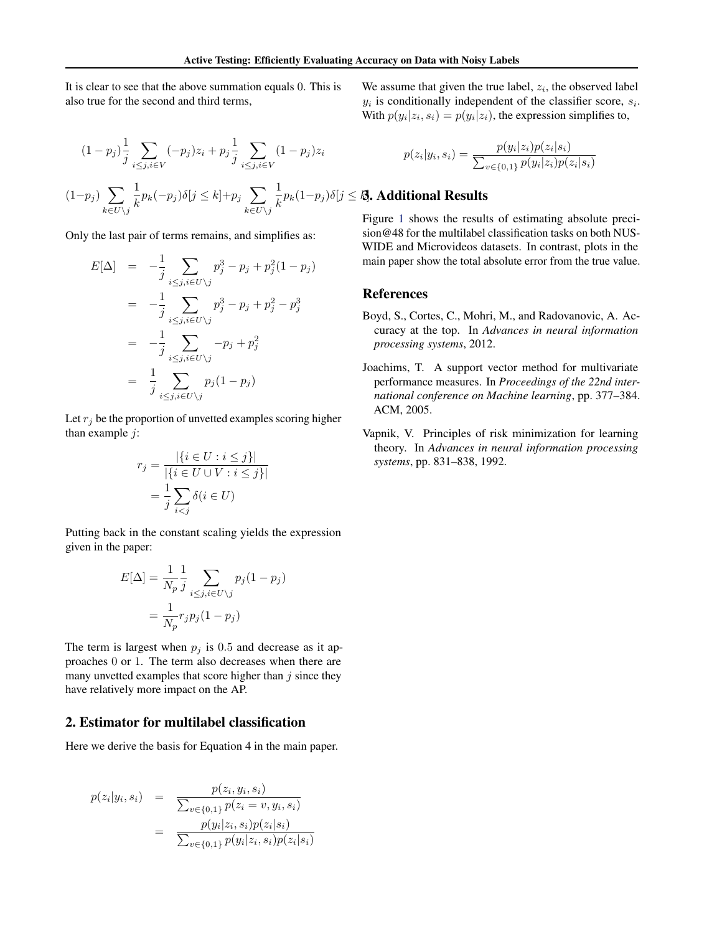It is clear to see that the above summation equals 0. This is also true for the second and third terms,

$$
(1 - p_j) \frac{1}{j} \sum_{i \le j, i \in V} (-p_j) z_i + p_j \frac{1}{j} \sum_{i \le j, i \in V} (1 - p_j) z_i
$$
  

$$
(1 - p_j) \sum_{k \in U \setminus j} \frac{1}{k} p_k(-p_j) \delta[j \le k] + p_j \sum_{k \in U \setminus j} \frac{1}{k} p_k(1 - p_j) \delta[j]
$$

Only the last pair of terms remains, and simplifies as:

$$
E[\Delta] = -\frac{1}{j} \sum_{i \le j, i \in U \setminus j} p_j^3 - p_j + p_j^2 (1 - p_j)
$$
  
= 
$$
-\frac{1}{j} \sum_{i \le j, i \in U \setminus j} p_j^3 - p_j + p_j^2 - p_j^3
$$
  
= 
$$
-\frac{1}{j} \sum_{i \le j, i \in U \setminus j} -p_j + p_j^2
$$
  
= 
$$
\frac{1}{j} \sum_{i \le j, i \in U \setminus j} p_j (1 - p_j)
$$

Let  $r_i$  be the proportion of unvetted examples scoring higher than example  $j$ :

$$
r_j = \frac{|\{i \in U : i \le j\}|}{|\{i \in U \cup V : i \le j\}|}
$$

$$
= \frac{1}{j} \sum_{i < j} \delta(i \in U)
$$

Putting back in the constant scaling yields the expression given in the paper:

$$
E[\Delta] = \frac{1}{N_p} \frac{1}{j} \sum_{i \le j, i \in U \setminus j} p_j (1 - p_j)
$$

$$
= \frac{1}{N_p} r_j p_j (1 - p_j)
$$

The term is largest when  $p_i$  is 0.5 and decrease as it approaches 0 or 1. The term also decreases when there are many unvetted examples that score higher than  $j$  since they have relatively more impact on the AP.

#### 2. Estimator for multilabel classification

Here we derive the basis for Equation 4 in the main paper.

$$
p(z_i|y_i, s_i) = \frac{p(z_i, y_i, s_i)}{\sum_{v \in \{0, 1\}} p(z_i = v, y_i, s_i)}
$$
  
= 
$$
\frac{p(y_i|z_i, s_i)p(z_i|s_i)}{\sum_{v \in \{0, 1\}} p(y_i|z_i, s_i)p(z_i|s_i)}
$$

We assume that given the true label,  $z_i$ , the observed label  $y_i$  is conditionally independent of the classifier score,  $s_i$ . With  $p(y_i|z_i, s_i) = p(y_i|z_i)$ , the expression simplifies to,

$$
p(z_i|y_i, s_i) = \frac{p(y_i|z_i)p(z_i|s_i)}{\sum_{v \in \{0,1\}} p(y_i|z_i)p(z_i|s_i)}
$$

### $p_k(1-p_j)\delta | j \leq k$ , Additional Results

Figure [1](#page-3-0) shows the results of estimating absolute precision@48 for the multilabel classification tasks on both NUS-WIDE and Microvideos datasets. In contrast, plots in the main paper show the total absolute error from the true value.

#### References

- Boyd, S., Cortes, C., Mohri, M., and Radovanovic, A. Accuracy at the top. In *Advances in neural information processing systems*, 2012.
- Joachims, T. A support vector method for multivariate performance measures. In *Proceedings of the 22nd international conference on Machine learning*, pp. 377–384. ACM, 2005.
- Vapnik, V. Principles of risk minimization for learning theory. In *Advances in neural information processing systems*, pp. 831–838, 1992.